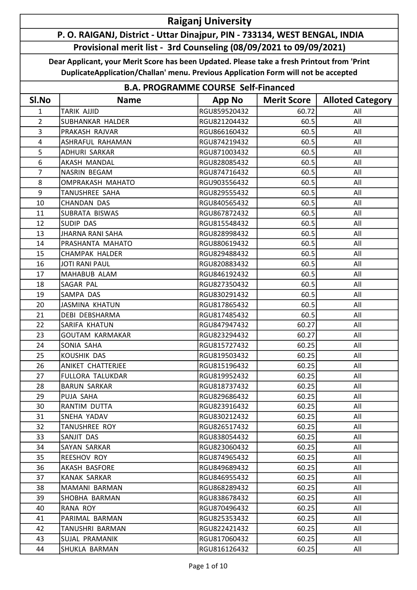## Raiganj University

## P. O. RAIGANJ, District - Uttar Dinajpur, PIN - 733134, WEST BENGAL, INDIA Provisional merit list - 3rd Counseling (08/09/2021 to 09/09/2021)

Dear Applicant, your Merit Score has been Updated. Please take a fresh Printout from 'Print DuplicateApplication/Challan' menu. Previous Application Form will not be accepted

|                | <b>B.A. PROGRAMME COURSE Self-Financed</b> |               |                    |                         |  |  |
|----------------|--------------------------------------------|---------------|--------------------|-------------------------|--|--|
| SI.No          | <b>Name</b>                                | <b>App No</b> | <b>Merit Score</b> | <b>Alloted Category</b> |  |  |
| $\mathbf{1}$   | <b>TARIK AJJID</b>                         | RGU859520432  | 60.72              | All                     |  |  |
| $\overline{2}$ | <b>SUBHANKAR HALDER</b>                    | RGU821204432  | 60.5               | All                     |  |  |
| 3              | PRAKASH RAJVAR                             | RGU866160432  | 60.5               | All                     |  |  |
| 4              | ASHRAFUL RAHAMAN                           | RGU874219432  | 60.5               | All                     |  |  |
| 5              | ADHURI SARKAR                              | RGU871003432  | 60.5               | All                     |  |  |
| 6              | AKASH MANDAL                               | RGU828085432  | 60.5               | All                     |  |  |
| $\overline{7}$ | NASRIN BEGAM                               | RGU874716432  | 60.5               | All                     |  |  |
| 8              | OMPRAKASH MAHATO                           | RGU903556432  | 60.5               | All                     |  |  |
| 9              | <b>TANUSHREE SAHA</b>                      | RGU829555432  | 60.5               | All                     |  |  |
| 10             | <b>CHANDAN DAS</b>                         | RGU840565432  | 60.5               | All                     |  |  |
| 11             | SUBRATA BISWAS                             | RGU867872432  | 60.5               | All                     |  |  |
| 12             | SUDIP DAS                                  | RGU815548432  | 60.5               | All                     |  |  |
| 13             | <b>JHARNA RANI SAHA</b>                    | RGU828998432  | 60.5               | All                     |  |  |
| 14             | PRASHANTA MAHATO                           | RGU880619432  | 60.5               | All                     |  |  |
| 15             | <b>CHAMPAK HALDER</b>                      | RGU829488432  | 60.5               | All                     |  |  |
| 16             | <b>JOTI RANI PAUL</b>                      | RGU820883432  | 60.5               | All                     |  |  |
| 17             | MAHABUB ALAM                               | RGU846192432  | 60.5               | All                     |  |  |
| 18             | SAGAR PAL                                  | RGU827350432  | 60.5               | All                     |  |  |
| 19             | SAMPA DAS                                  | RGU830291432  | 60.5               | All                     |  |  |
| 20             | <b>JASMINA KHATUN</b>                      | RGU817865432  | 60.5               | All                     |  |  |
| 21             | DEBI DEBSHARMA                             | RGU817485432  | 60.5               | All                     |  |  |
| 22             | SARIFA KHATUN                              | RGU847947432  | 60.27              | All                     |  |  |
| 23             | <b>GOUTAM KARMAKAR</b>                     | RGU823294432  | 60.27              | All                     |  |  |
| 24             | SONIA SAHA                                 | RGU815727432  | 60.25              | All                     |  |  |
| 25             | KOUSHIK DAS                                | RGU819503432  | 60.25              | All                     |  |  |
| 26             | ANIKET CHATTERJEE                          | RGU815196432  | 60.25              | All                     |  |  |
| 27             | <b>FULLORA TALUKDAR</b>                    | RGU819952432  | 60.25              | All                     |  |  |
| 28             | <b>BARUN SARKAR</b>                        | RGU818737432  | 60.25              | All                     |  |  |
| 29             | PUJA SAHA                                  | RGU829686432  | 60.25              | All                     |  |  |
| 30             | RANTIM DUTTA                               | RGU823916432  | 60.25              | All                     |  |  |
| 31             | SNEHA YADAV                                | RGU830212432  | 60.25              | All                     |  |  |
| 32             | <b>TANUSHREE ROY</b>                       | RGU826517432  | 60.25              | All                     |  |  |
| 33             | SANJIT DAS                                 | RGU838054432  | 60.25              | All                     |  |  |
| 34             | SAYAN SARKAR                               | RGU823060432  | 60.25              | All                     |  |  |
| 35             | REESHOV ROY                                | RGU874965432  | 60.25              | All                     |  |  |
| 36             | AKASH BASFORE                              | RGU849689432  | 60.25              | All                     |  |  |
| 37             | KANAK SARKAR                               | RGU846955432  | 60.25              | All                     |  |  |
| 38             | MAMANI BARMAN                              | RGU868289432  | 60.25              | All                     |  |  |
| 39             | SHOBHA BARMAN                              | RGU838678432  | 60.25              | All                     |  |  |
| 40             | RANA ROY                                   | RGU870496432  | 60.25              | All                     |  |  |
| 41             | PARIMAL BARMAN                             | RGU825353432  | 60.25              | All                     |  |  |
| 42             | TANUSHRI BARMAN                            | RGU822421432  | 60.25              | All                     |  |  |
| 43             | SUJAL PRAMANIK                             | RGU817060432  | 60.25              | All                     |  |  |
| 44             | SHUKLA BARMAN                              | RGU816126432  | 60.25              | All                     |  |  |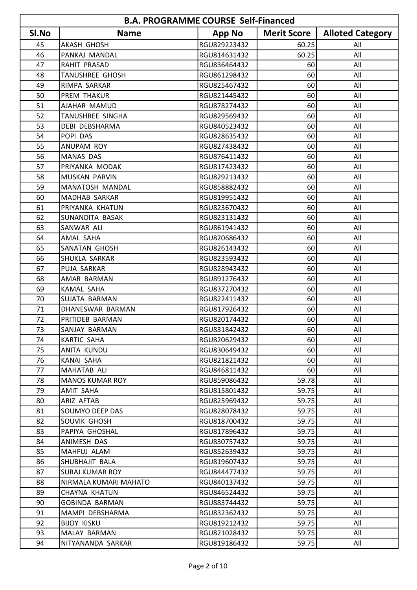| <b>B.A. PROGRAMME COURSE Self-Financed</b> |                        |               |                    |                         |
|--------------------------------------------|------------------------|---------------|--------------------|-------------------------|
| SI.No                                      | <b>Name</b>            | <b>App No</b> | <b>Merit Score</b> | <b>Alloted Category</b> |
| 45                                         | <b>AKASH GHOSH</b>     | RGU829223432  | 60.25              | All                     |
| 46                                         | PANKAJ MANDAL          | RGU814631432  | 60.25              | All                     |
| 47                                         | <b>RAHIT PRASAD</b>    | RGU836464432  | 60                 | All                     |
| 48                                         | <b>TANUSHREE GHOSH</b> | RGU861298432  | 60                 | All                     |
| 49                                         | RIMPA SARKAR           | RGU825467432  | 60                 | All                     |
| 50                                         | <b>PREM THAKUR</b>     | RGU821445432  | 60                 | All                     |
| 51                                         | AJAHAR MAMUD           | RGU878274432  | 60                 | All                     |
| 52                                         | TANUSHREE SINGHA       | RGU829569432  | 60                 | All                     |
| 53                                         | <b>DEBI DEBSHARMA</b>  | RGU840523432  | 60                 | All                     |
| 54                                         | POPI DAS               | RGU828635432  | 60                 | All                     |
| 55                                         | ANUPAM ROY             | RGU827438432  | 60                 | All                     |
| 56                                         | <b>MANAS DAS</b>       | RGU876411432  | 60                 | All                     |
| 57                                         | PRIYANKA MODAK         | RGU817423432  | 60                 | All                     |
| 58                                         | <b>MUSKAN PARVIN</b>   | RGU829213432  | 60                 | All                     |
| 59                                         | MANATOSH MANDAL        | RGU858882432  | 60                 | All                     |
| 60                                         | MADHAB SARKAR          | RGU819951432  | 60                 | All                     |
| 61                                         | PRIYANKA KHATUN        | RGU823670432  | 60                 | All                     |
| 62                                         | SUNANDITA BASAK        | RGU823131432  | 60                 | All                     |
| 63                                         | SANWAR ALI             | RGU861941432  | 60                 | All                     |
| 64                                         | AMAL SAHA              | RGU820686432  | 60                 | All                     |
| 65                                         | <b>SANATAN GHOSH</b>   | RGU826143432  | 60                 | All                     |
| 66                                         | SHUKLA SARKAR          | RGU823593432  | 60                 | All                     |
| 67                                         | PUJA SARKAR            | RGU828943432  | 60                 | All                     |
| 68                                         | AMAR BARMAN            | RGU891276432  | 60                 | All                     |
| 69                                         | KAMAL SAHA             | RGU837270432  | 60                 | All                     |
| 70                                         | SUJATA BARMAN          | RGU822411432  | 60                 | All                     |
| 71                                         | DHANESWAR BARMAN       | RGU817926432  | 60                 | All                     |
| 72                                         | PRITIDEB BARMAN        | RGU820174432  | 60                 | All                     |
| 73                                         | SANJAY BARMAN          | RGU831842432  | 60 I               | All                     |
| 74                                         | KARTIC SAHA            | RGU820629432  | 60                 | All                     |
| 75                                         | ANITA KUNDU            | RGU830649432  | 60                 | All                     |
| 76                                         | KANAI SAHA             | RGU821821432  | 60                 | All                     |
| 77                                         | MAHATAB ALI            | RGU846811432  | 60                 | All                     |
| 78                                         | MANOS KUMAR ROY        | RGU859086432  | 59.78              | All                     |
| 79                                         | AMIT SAHA              | RGU815801432  | 59.75              | All                     |
| 80                                         | <b>ARIZ AFTAB</b>      | RGU825969432  | 59.75              | All                     |
| 81                                         | SOUMYO DEEP DAS        | RGU828078432  | 59.75              | All                     |
| 82                                         | SOUVIK GHOSH           | RGU818700432  | 59.75              | All                     |
| 83                                         | PAPIYA GHOSHAL         | RGU817896432  | 59.75              | All                     |
| 84                                         | ANIMESH DAS            | RGU830757432  | 59.75              | All                     |
| 85                                         | MAHFUJ ALAM            | RGU852639432  | 59.75              | All                     |
| 86                                         | SHUBHAJIT BALA         | RGU819607432  | 59.75              | All                     |
| 87                                         | <b>SURAJ KUMAR ROY</b> | RGU844477432  | 59.75              | All                     |
| 88                                         | NIRMALA KUMARI MAHATO  | RGU840137432  | 59.75              | All                     |
| 89                                         | <b>CHAYNA KHATUN</b>   | RGU846524432  | 59.75              | All                     |
| 90                                         | <b>GOBINDA BARMAN</b>  | RGU883744432  | 59.75              | All                     |
| 91                                         | MAMPI DEBSHARMA        | RGU832362432  | 59.75              | All                     |
| 92                                         | BIJOY KISKU            | RGU819212432  | 59.75              | All                     |
| 93                                         | MALAY BARMAN           | RGU821028432  | 59.75              | All                     |
| 94                                         | NITYANANDA SARKAR      | RGU819186432  | 59.75              | All                     |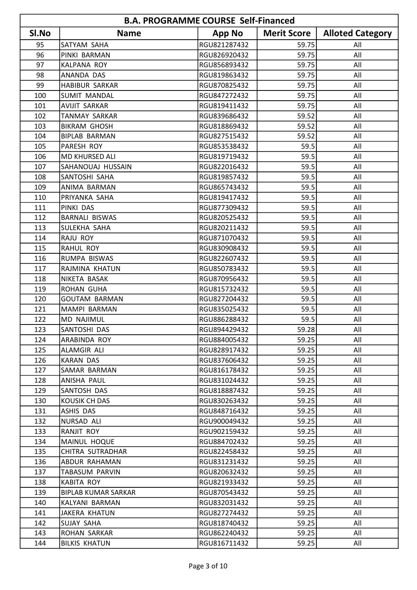|       | <b>B.A. PROGRAMME COURSE Self-Financed</b> |               |                    |                         |  |
|-------|--------------------------------------------|---------------|--------------------|-------------------------|--|
| SI.No | <b>Name</b>                                | <b>App No</b> | <b>Merit Score</b> | <b>Alloted Category</b> |  |
| 95    | SATYAM SAHA                                | RGU821287432  | 59.75              | All                     |  |
| 96    | PINKI BARMAN                               | RGU826920432  | 59.75              | All                     |  |
| 97    | KALPANA ROY                                | RGU856893432  | 59.75              | All                     |  |
| 98    | <b>ANANDA DAS</b>                          | RGU819863432  | 59.75              | All                     |  |
| 99    | <b>HABIBUR SARKAR</b>                      | RGU870825432  | 59.75              | All                     |  |
| 100   | <b>SUMIT MANDAL</b>                        | RGU847272432  | 59.75              | All                     |  |
| 101   | <b>AVIJIT SARKAR</b>                       | RGU819411432  | 59.75              | All                     |  |
| 102   | <b>TANMAY SARKAR</b>                       | RGU839686432  | 59.52              | All                     |  |
| 103   | <b>BIKRAM GHOSH</b>                        | RGU818869432  | 59.52              | All                     |  |
| 104   | <b>BIPLAB BARMAN</b>                       | RGU827515432  | 59.52              | All                     |  |
| 105   | <b>PARESH ROY</b>                          | RGU853538432  | 59.5               | All                     |  |
| 106   | MD KHURSED ALI                             | RGU819719432  | 59.5               | All                     |  |
| 107   | SAHANOUAJ HUSSAIN                          | RGU822016432  | 59.5               | All                     |  |
| 108   | SANTOSHI SAHA                              | RGU819857432  | 59.5               | All                     |  |
| 109   | ANIMA BARMAN                               | RGU865743432  | 59.5               | All                     |  |
| 110   | PRIYANKA SAHA                              | RGU819417432  | 59.5               | All                     |  |
| 111   | PINKI DAS                                  | RGU877309432  | 59.5               | All                     |  |
| 112   | <b>BARNALI BISWAS</b>                      | RGU820525432  | 59.5               | All                     |  |
| 113   | SULEKHA SAHA                               | RGU820211432  | 59.5               | All                     |  |
| 114   | <b>RAJU ROY</b>                            | RGU871070432  | 59.5               | All                     |  |
| 115   | <b>RAHUL ROY</b>                           | RGU830908432  | 59.5               | All                     |  |
| 116   | RUMPA BISWAS                               | RGU822607432  | 59.5               | All                     |  |
| 117   | RAJMINA KHATUN                             | RGU850783432  | 59.5               | All                     |  |
| 118   | NIKETA BASAK                               | RGU870956432  | 59.5               | All                     |  |
| 119   | <b>ROHAN GUHA</b>                          | RGU815732432  | 59.5               | All                     |  |
| 120   | <b>GOUTAM BARMAN</b>                       | RGU827204432  | 59.5               | All                     |  |
| 121   | MAMPI BARMAN                               | RGU835025432  | 59.5               | All                     |  |
| 122   | <b>MD NAJIMUL</b>                          | RGU886288432  | 59.5               | All                     |  |
| 123   | SANTOSHI DAS                               | RGU894429432  | 59.28              | All                     |  |
| 124   | ARABINDA ROY                               | RGU884005432  | 59.25              | All                     |  |
| 125   | ALAMGIR ALI                                | RGU828917432  | 59.25              | All                     |  |
| 126   | <b>KARAN DAS</b>                           | RGU837606432  | 59.25              | All                     |  |
| 127   | SAMAR BARMAN                               | RGU816178432  | 59.25              | All                     |  |
| 128   | ANISHA PAUL                                | RGU831024432  | 59.25              | All                     |  |
| 129   | SANTOSH DAS                                | RGU818887432  | 59.25              | All                     |  |
| 130   | KOUSIK CH DAS                              | RGU830263432  | 59.25              | All                     |  |
| 131   | ASHIS DAS                                  | RGU848716432  | 59.25              | All                     |  |
| 132   | NURSAD ALI                                 | RGU900049432  | 59.25              | All                     |  |
| 133   | <b>RANJIT ROY</b>                          | RGU902159432  | 59.25              | All                     |  |
| 134   | MAINUL HOQUE                               | RGU884702432  | 59.25              | All                     |  |
| 135   | CHITRA SUTRADHAR                           | RGU822458432  | 59.25              | All                     |  |
| 136   | <b>ABDUR RAHAMAN</b>                       | RGU831231432  | 59.25              | All                     |  |
| 137   | TABASUM PARVIN                             | RGU820632432  | 59.25              | All                     |  |
| 138   | <b>KABITA ROY</b>                          | RGU821933432  | 59.25              | All                     |  |
| 139   | <b>BIPLAB KUMAR SARKAR</b>                 | RGU870543432  | 59.25              | All                     |  |
| 140   | KALYANI BARMAN                             | RGU832031432  | 59.25              | All                     |  |
| 141   | <b>JAKERA KHATUN</b>                       | RGU827274432  | 59.25              | All                     |  |
| 142   | SUJAY SAHA                                 | RGU818740432  | 59.25              | All                     |  |
| 143   | ROHAN SARKAR                               | RGU862240432  | 59.25              | All                     |  |
| 144   | <b>BILKIS KHATUN</b>                       | RGU816711432  | 59.25              | All                     |  |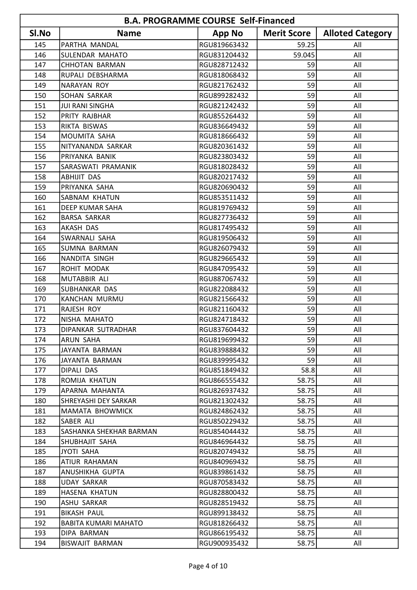|       | <b>B.A. PROGRAMME COURSE Self-Financed</b> |               |                    |                         |  |
|-------|--------------------------------------------|---------------|--------------------|-------------------------|--|
| SI.No | <b>Name</b>                                | <b>App No</b> | <b>Merit Score</b> | <b>Alloted Category</b> |  |
| 145   | PARTHA MANDAL                              | RGU819663432  | 59.25              | All                     |  |
| 146   | SULENDAR MAHATO                            | RGU831204432  | 59.045             | All                     |  |
| 147   | <b>CHHOTAN BARMAN</b>                      | RGU828712432  | 59                 | All                     |  |
| 148   | RUPALI DEBSHARMA                           | RGU818068432  | 59                 | All                     |  |
| 149   | <b>NARAYAN ROY</b>                         | RGU821762432  | 59                 | All                     |  |
| 150   | SOHAN SARKAR                               | RGU899282432  | 59                 | All                     |  |
| 151   | <b>JUI RANI SINGHA</b>                     | RGU821242432  | 59                 | All                     |  |
| 152   | PRITY RAJBHAR                              | RGU855264432  | 59                 | All                     |  |
| 153   | RIKTA BISWAS                               | RGU836649432  | 59                 | All                     |  |
| 154   | MOUMITA SAHA                               | RGU818666432  | 59                 | All                     |  |
| 155   | NITYANANDA SARKAR                          | RGU820361432  | 59                 | All                     |  |
| 156   | PRIYANKA BANIK                             | RGU823803432  | 59                 | All                     |  |
| 157   | SARASWATI PRAMANIK                         | RGU818028432  | 59                 | All                     |  |
| 158   | <b>ABHIJIT DAS</b>                         | RGU820217432  | 59                 | All                     |  |
| 159   | PRIYANKA SAHA                              | RGU820690432  | 59                 | All                     |  |
| 160   | SABNAM KHATUN                              | RGU853511432  | 59                 | All                     |  |
| 161   | DEEP KUMAR SAHA                            | RGU819769432  | 59                 | All                     |  |
| 162   | <b>BARSA SARKAR</b>                        | RGU827736432  | 59                 | All                     |  |
| 163   | AKASH DAS                                  | RGU817495432  | 59                 | All                     |  |
| 164   | SWARNALI SAHA                              | RGU819506432  | 59                 | All                     |  |
| 165   | <b>SUMNA BARMAN</b>                        | RGU826079432  | 59                 | All                     |  |
| 166   | NANDITA SINGH                              | RGU829665432  | 59                 | All                     |  |
| 167   | ROHIT MODAK                                | RGU847095432  | 59                 | All                     |  |
| 168   | MUTABBIR ALI                               | RGU887067432  | 59                 | All                     |  |
| 169   | SUBHANKAR DAS                              | RGU822088432  | 59                 | All                     |  |
| 170   | KANCHAN MURMU                              | RGU821566432  | 59                 | All                     |  |
| 171   | <b>RAJESH ROY</b>                          | RGU821160432  | 59                 | All                     |  |
| 172   | NISHA MAHATO                               | RGU824718432  | 59                 | All                     |  |
| 173   | DIPANKAR SUTRADHAR                         | RGU837604432  | 59                 | All                     |  |
| 174   | <b>ARUN SAHA</b>                           | RGU819699432  | 59                 | All                     |  |
| 175   | JAYANTA BARMAN                             | RGU839888432  | 59                 | All                     |  |
| 176   | JAYANTA BARMAN                             | RGU839995432  | 59                 | All                     |  |
| 177   | DIPALI DAS                                 | RGU851849432  | 58.8               | All                     |  |
| 178   | ROMIJA KHATUN                              | RGU866555432  | 58.75              | All                     |  |
| 179   | APARNA MAHANTA                             | RGU826937432  | 58.75              | All                     |  |
| 180   | SHREYASHI DEY SARKAR                       | RGU821302432  | 58.75              | All                     |  |
| 181   | MAMATA BHOWMICK                            | RGU824862432  | 58.75              | All                     |  |
| 182   | SABER ALI                                  | RGU850229432  | 58.75              | All                     |  |
| 183   | SASHANKA SHEKHAR BARMAN                    | RGU854044432  | 58.75              | All                     |  |
| 184   | SHUBHAJIT SAHA                             | RGU846964432  | 58.75              | All                     |  |
| 185   | JYOTI SAHA                                 | RGU820749432  | 58.75              | All                     |  |
| 186   | ATIUR RAHAMAN                              | RGU840969432  | 58.75              | All                     |  |
| 187   | ANUSHIKHA GUPTA                            | RGU839861432  | 58.75              | All                     |  |
| 188   | <b>UDAY SARKAR</b>                         | RGU870583432  | 58.75              | All                     |  |
| 189   | HASENA KHATUN                              | RGU828800432  | 58.75              | All                     |  |
| 190   | ASHU SARKAR                                | RGU828519432  | 58.75              | All                     |  |
| 191   | <b>BIKASH PAUL</b>                         | RGU899138432  | 58.75              | All                     |  |
| 192   | BABITA KUMARI MAHATO                       | RGU818266432  | 58.75              | All                     |  |
| 193   | DIPA BARMAN                                | RGU866195432  | 58.75              | All                     |  |
| 194   | BISWAJIT BARMAN                            | RGU900935432  | 58.75              | All                     |  |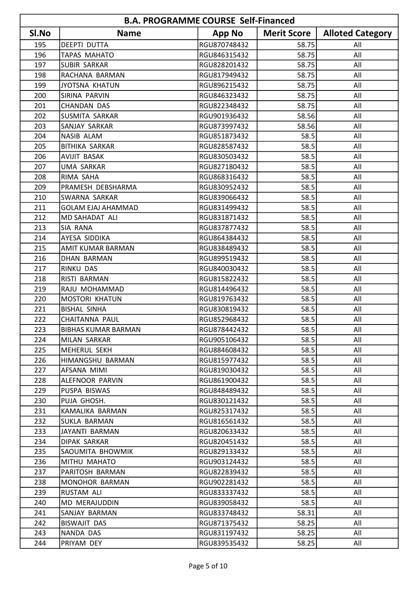| <b>B.A. PROGRAMME COURSE Self-Financed</b> |                           |               |                    |                         |
|--------------------------------------------|---------------------------|---------------|--------------------|-------------------------|
| SI.No                                      | <b>Name</b>               | <b>App No</b> | <b>Merit Score</b> | <b>Alloted Category</b> |
| 195                                        | <b>DEEPTI DUTTA</b>       | RGU870748432  | 58.75              | All                     |
| 196                                        | <b>TAPAS MAHATO</b>       | RGU846315432  | 58.75              | All                     |
| 197                                        | <b>SUBIR SARKAR</b>       | RGU828201432  | 58.75              | All                     |
| 198                                        | RACHANA BARMAN            | RGU817949432  | 58.75              | All                     |
| 199                                        | <b>JYOTSNA KHATUN</b>     | RGU896215432  | 58.75              | All                     |
| 200                                        | SIRINA PARVIN             | RGU846323432  | 58.75              | All                     |
| 201                                        | <b>CHANDAN DAS</b>        | RGU822348432  | 58.75              | All                     |
| 202                                        | <b>SUSMITA SARKAR</b>     | RGU901936432  | 58.56              | All                     |
| 203                                        | SANJAY SARKAR             | RGU873997432  | 58.56              | All                     |
| 204                                        | <b>NASIB ALAM</b>         | RGU851873432  | 58.5               | All                     |
| 205                                        | <b>BITHIKA SARKAR</b>     | RGU828587432  | 58.5               | All                     |
| 206                                        | <b>AVIJIT BASAK</b>       | RGU830503432  | 58.5               | All                     |
| 207                                        | <b>UMA SARKAR</b>         | RGU827180432  | 58.5               | All                     |
| 208                                        | RIMA SAHA                 | RGU868316432  | 58.5               | All                     |
| 209                                        | PRAMESH DEBSHARMA         | RGU830952432  | 58.5               | All                     |
| 210                                        | SWARNA SARKAR             | RGU839066432  | 58.5               | All                     |
| 211                                        | <b>GOLAM EJAJ AHAMMAD</b> | RGU831499432  | 58.5               | All                     |
| 212                                        | MD SAHADAT ALI            | RGU831871432  | 58.5               | All                     |
| 213                                        | SIA RANA                  | RGU837877432  | 58.5               | All                     |
| 214                                        | AYESA SIDDIKA             | RGU864384432  | 58.5               | All                     |
| 215                                        | <b>AMIT KUMAR BARMAN</b>  | RGU838489432  | 58.5               | All                     |
| 216                                        | DHAN BARMAN               | RGU899519432  | 58.5               | All                     |
| 217                                        | <b>RINKU DAS</b>          | RGU840030432  | 58.5               | All                     |
| 218                                        | RISTI BARMAN              | RGU815822432  | 58.5               | All                     |
| 219                                        | RAJU MOHAMMAD             | RGU814496432  | 58.5               | All                     |
| 220                                        | <b>MOSTORI KHATUN</b>     | RGU819763432  | 58.5               | All                     |
| 221                                        | <b>BISHAL SINHA</b>       | RGU830819432  | 58.5               | All                     |
| 222                                        | <b>CHAITANNA PAUL</b>     | RGU852968432  | 58.5               | All                     |
| 223                                        | IBIBHAS KUMAR BARMAN      | RGU878442432  | 58.5               | All                     |
| 224                                        | MILAN SARKAR              | RGU905106432  | 58.5               | All                     |
| 225                                        | MEHERUL SEKH              | RGU884608432  | 58.5               | All                     |
| 226                                        | HIMANGSHU BARMAN          | RGU815977432  | 58.5               | All                     |
| 227                                        | AFSANA MIMI               | RGU819030432  | 58.5               | All                     |
| 228                                        | ALEFNOOR PARVIN           | RGU861900432  | 58.5               | All                     |
| 229                                        | PUSPA BISWAS              | RGU848489432  | 58.5               | All                     |
| 230                                        | PUJA GHOSH.               | RGU830121432  | 58.5               | All                     |
| 231                                        | KAMALIKA BARMAN           | RGU825317432  | 58.5               | All                     |
| 232                                        | SUKLA BARMAN              | RGU816561432  | 58.5               | All                     |
| 233                                        | JAYANTI BARMAN            | RGU820633432  | 58.5               | All                     |
| 234                                        | DIPAK SARKAR              | RGU820451432  | 58.5               | All                     |
| 235                                        | SAOUMITA BHOWMIK          | RGU829133432  | 58.5               | All                     |
| 236                                        | MITHU MAHATO              | RGU903124432  | 58.5               | All                     |
| 237                                        | PARITOSH BARMAN           | RGU822839432  | 58.5               | All                     |
| 238                                        | MONOHOR BARMAN            | RGU902281432  | 58.5               | All                     |
| 239                                        | <b>RUSTAM ALI</b>         | RGU833337432  | 58.5               | All                     |
| 240                                        | MD MERAJUDDIN             | RGU839058432  | 58.5               | All                     |
| 241                                        | SANJAY BARMAN             | RGU833748432  | 58.31              | All                     |
| 242                                        | BISWAJIT DAS              | RGU871375432  | 58.25              | All                     |
| 243                                        | NANDA DAS                 | RGU831197432  | 58.25              | All                     |
| 244                                        | PRIYAM DEY                | RGU839535432  | 58.25              | All                     |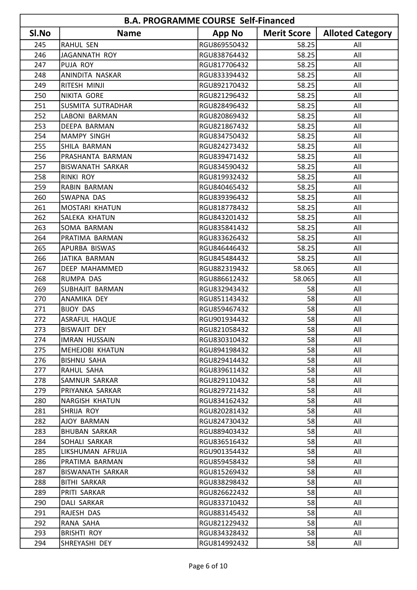|       | <b>B.A. PROGRAMME COURSE Self-Financed</b> |               |                    |                         |  |
|-------|--------------------------------------------|---------------|--------------------|-------------------------|--|
| SI.No | <b>Name</b>                                | <b>App No</b> | <b>Merit Score</b> | <b>Alloted Category</b> |  |
| 245   | RAHUL SEN                                  | RGU869550432  | 58.25              | All                     |  |
| 246   | JAGANNATH ROY                              | RGU838764432  | 58.25              | All                     |  |
| 247   | PUJA ROY                                   | RGU817706432  | 58.25              | All                     |  |
| 248   | ANINDITA NASKAR                            | RGU833394432  | 58.25              | All                     |  |
| 249   | RITESH MINJI                               | RGU892170432  | 58.25              | All                     |  |
| 250   | NIKITA GORE                                | RGU821296432  | 58.25              | All                     |  |
| 251   | SUSMITA SUTRADHAR                          | RGU828496432  | 58.25              | All                     |  |
| 252   | LABONI BARMAN                              | RGU820869432  | 58.25              | All                     |  |
| 253   | DEEPA BARMAN                               | RGU821867432  | 58.25              | All                     |  |
| 254   | <b>MAMPY SINGH</b>                         | RGU834750432  | 58.25              | All                     |  |
| 255   | SHILA BARMAN                               | RGU824273432  | 58.25              | All                     |  |
| 256   | PRASHANTA BARMAN                           | RGU839471432  | 58.25              | All                     |  |
| 257   | <b>BISWANATH SARKAR</b>                    | RGU834590432  | 58.25              | All                     |  |
| 258   | <b>RINKI ROY</b>                           | RGU819932432  | 58.25              | All                     |  |
| 259   | RABIN BARMAN                               | RGU840465432  | 58.25              | All                     |  |
| 260   | <b>SWAPNA DAS</b>                          | RGU839396432  | 58.25              | All                     |  |
| 261   | MOSTARI KHATUN                             | RGU818778432  | 58.25              | All                     |  |
| 262   | SALEKA KHATUN                              | RGU843201432  | 58.25              | All                     |  |
| 263   | SOMA BARMAN                                | RGU835841432  | 58.25              | All                     |  |
| 264   | PRATIMA BARMAN                             | RGU833626432  | 58.25              | All                     |  |
| 265   | APURBA BISWAS                              | RGU846446432  | 58.25              | All                     |  |
| 266   | JATIKA BARMAN                              | RGU845484432  | 58.25              | All                     |  |
| 267   | DEEP MAHAMMED                              | RGU882319432  | 58.065             | All                     |  |
| 268   | RUMPA DAS                                  | RGU886612432  | 58.065             | All                     |  |
| 269   | SUBHAJIT BARMAN                            | RGU832943432  | 58                 | All                     |  |
| 270   | ANAMIKA DEY                                | RGU851143432  | 58                 | All                     |  |
| 271   | <b>BIJOY DAS</b>                           | RGU859467432  | 58                 | All                     |  |
| 272   | <b>ASRAFUL HAQUE</b>                       | RGU901934432  | 58                 | All                     |  |
| 273   | BISWAJIT DEY                               | RGU821058432  | 58                 | All                     |  |
| 274   | <b>IMRAN HUSSAIN</b>                       | RGU830310432  | 58                 | All                     |  |
| 275   | <b>MEHEJOBI KHATUN</b>                     | RGU894198432  | 58                 | All                     |  |
| 276   | <b>BISHNU SAHA</b>                         | RGU829414432  | 58                 | All                     |  |
| 277   | RAHUL SAHA                                 | RGU839611432  | 58                 | All                     |  |
| 278   | SAMNUR SARKAR                              | RGU829110432  | 58                 | All                     |  |
| 279   | PRIYANKA SARKAR                            | RGU829721432  | 58                 | All                     |  |
| 280   | <b>NARGISH KHATUN</b>                      | RGU834162432  | 58                 | All                     |  |
| 281   | SHRIJA ROY                                 | RGU820281432  | 58                 | All                     |  |
| 282   | AJOY BARMAN                                | RGU824730432  | 58                 | All                     |  |
| 283   | <b>BHUBAN SARKAR</b>                       | RGU889403432  | 58                 | All                     |  |
| 284   | SOHALI SARKAR                              | RGU836516432  | 58                 | All                     |  |
| 285   | LIKSHUMAN AFRUJA                           | RGU901354432  | 58                 | All                     |  |
| 286   | PRATIMA BARMAN                             | RGU859458432  | 58                 | All                     |  |
| 287   | BISWANATH SARKAR                           | RGU815269432  | 58                 | All                     |  |
| 288   | <b>BITHI SARKAR</b>                        | RGU838298432  | 58                 | All                     |  |
| 289   | PRITI SARKAR                               | RGU826622432  | 58                 | All                     |  |
| 290   | DALI SARKAR                                | RGU833710432  | 58                 | All                     |  |
| 291   | RAJESH DAS                                 | RGU883145432  | 58                 | All                     |  |
| 292   | RANA SAHA                                  | RGU821229432  | 58                 | All                     |  |
| 293   | <b>BRISHTI ROY</b>                         | RGU834328432  | 58                 | All                     |  |
| 294   | SHREYASHI DEY                              | RGU814992432  | 58                 | All                     |  |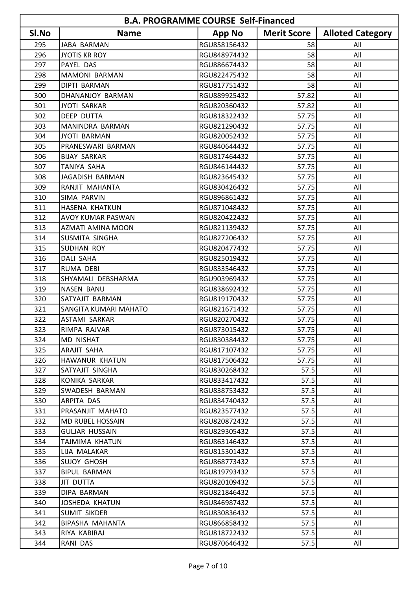| <b>B.A. PROGRAMME COURSE Self-Financed</b> |                          |               |                    |                         |
|--------------------------------------------|--------------------------|---------------|--------------------|-------------------------|
| SI.No                                      | <b>Name</b>              | <b>App No</b> | <b>Merit Score</b> | <b>Alloted Category</b> |
| 295                                        | JABA BARMAN              | RGU858156432  | 58                 | All                     |
| 296                                        | <b>JYOTIS KR ROY</b>     | RGU848974432  | 58                 | All                     |
| 297                                        | PAYEL DAS                | RGU886674432  | 58                 | All                     |
| 298                                        | <b>MAMONI BARMAN</b>     | RGU822475432  | 58                 | All                     |
| 299                                        | DIPTI BARMAN             | RGU817751432  | 58                 | All                     |
| 300                                        | DHANANJOY BARMAN         | RGU889925432  | 57.82              | All                     |
| 301                                        | <b>JYOTI SARKAR</b>      | RGU820360432  | 57.82              | All                     |
| 302                                        | <b>DEEP DUTTA</b>        | RGU818322432  | 57.75              | All                     |
| 303                                        | MANINDRA BARMAN          | RGU821290432  | 57.75              | All                     |
| 304                                        | JYOTI BARMAN             | RGU820052432  | 57.75              | All                     |
| 305                                        | PRANESWARI BARMAN        | RGU840644432  | 57.75              | All                     |
| 306                                        | <b>BIJAY SARKAR</b>      | RGU817464432  | 57.75              | All                     |
| 307                                        | <b>TANIYA SAHA</b>       | RGU846144432  | 57.75              | All                     |
| 308                                        | JAGADISH BARMAN          | RGU823645432  | 57.75              | All                     |
| 309                                        | RANJIT MAHANTA           | RGU830426432  | 57.75              | All                     |
| 310                                        | SIMA PARVIN              | RGU896861432  | 57.75              | All                     |
| 311                                        | HASENA KHATKUN           | RGU871048432  | 57.75              | All                     |
| 312                                        | <b>AVOY KUMAR PASWAN</b> | RGU820422432  | 57.75              | All                     |
| 313                                        | AZMATI AMINA MOON        | RGU821139432  | 57.75              | All                     |
| 314                                        | SUSMITA SINGHA           | RGU827206432  | 57.75              | All                     |
| 315                                        | <b>SUDHAN ROY</b>        | RGU820477432  | 57.75              | All                     |
| 316                                        | <b>DALI SAHA</b>         | RGU825019432  | 57.75              | All                     |
| 317                                        | <b>RUMA DEBI</b>         | RGU833546432  | 57.75              | All                     |
| 318                                        | SHYAMALI DEBSHARMA       | RGU903969432  | 57.75              | All                     |
| 319                                        | <b>NASEN BANU</b>        | RGU838692432  | 57.75              | All                     |
| 320                                        | SATYAJIT BARMAN          | RGU819170432  | 57.75              | All                     |
| 321                                        | SANGITA KUMARI MAHATO    | RGU821671432  | 57.75              | All                     |
| 322                                        | <b>ASTAMI SARKAR</b>     | RGU820270432  | 57.75              | All                     |
| 323                                        | RIMPA RAJVAR             | RGU873015432  | 57.75              | All                     |
| 324                                        | <b>MD NISHAT</b>         | RGU830384432  | 57.75              | All                     |
| 325                                        | ARAJIT SAHA              | RGU817107432  | 57.75              | All                     |
| 326                                        | HAWANUR KHATUN           | RGU817506432  | 57.75              | All                     |
| 327                                        | SATYAJIT SINGHA          | RGU830268432  | 57.5               | All                     |
| 328                                        | KONIKA SARKAR            | RGU833417432  | 57.5               | All                     |
| 329                                        | SWADESH BARMAN           | RGU838753432  | 57.5               | All                     |
| 330                                        | ARPITA DAS               | RGU834740432  | 57.5               | All                     |
| 331                                        | PRASANJIT MAHATO         | RGU823577432  | 57.5               | All                     |
| 332                                        | MD RUBEL HOSSAIN         | RGU820872432  | 57.5               | All                     |
| 333                                        | <b>GULJAR HUSSAIN</b>    | RGU829305432  | 57.5               | All                     |
| 334                                        | TAJMIMA KHATUN           | RGU863146432  | 57.5               | All                     |
| 335                                        | LIJA MALAKAR             | RGU815301432  | 57.5               | All                     |
| 336                                        | SUJOY GHOSH              | RGU868773432  | 57.5               | All                     |
| 337                                        | <b>BIPUL BARMAN</b>      | RGU819793432  | 57.5               | All                     |
| 338                                        | JIT DUTTA                | RGU820109432  | 57.5               | All                     |
| 339                                        | DIPA BARMAN              | RGU821846432  | 57.5               | All                     |
| 340                                        | JOSHEDA KHATUN           | RGU846987432  | 57.5               | All                     |
| 341                                        | SUMIT SIKDER             | RGU830836432  | 57.5               | All                     |
| 342                                        | BIPASHA MAHANTA          | RGU866858432  | 57.5               | All                     |
| 343                                        | RIYA KABIRAJ             | RGU818722432  | 57.5               | All                     |
| 344                                        | RANI DAS                 | RGU870646432  | 57.5               | All                     |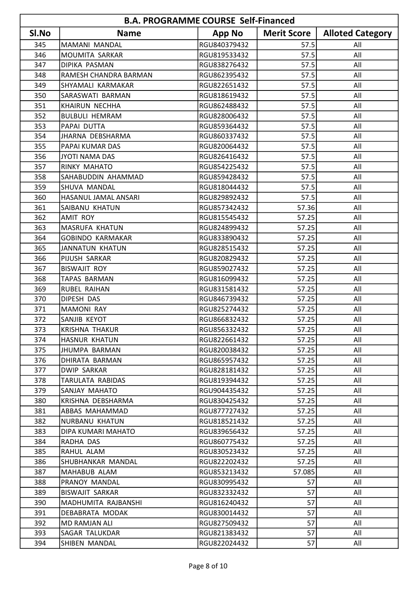|       | <b>B.A. PROGRAMME COURSE Self-Financed</b> |               |                    |                         |  |
|-------|--------------------------------------------|---------------|--------------------|-------------------------|--|
| SI.No | <b>Name</b>                                | <b>App No</b> | <b>Merit Score</b> | <b>Alloted Category</b> |  |
| 345   | MAMANI MANDAL                              | RGU840379432  | 57.5               | All                     |  |
| 346   | MOUMITA SARKAR                             | RGU819533432  | 57.5               | All                     |  |
| 347   | <b>DIPIKA PASMAN</b>                       | RGU838276432  | 57.5               | All                     |  |
| 348   | RAMESH CHANDRA BARMAN                      | RGU862395432  | 57.5               | All                     |  |
| 349   | SHYAMALI KARMAKAR                          | RGU822651432  | 57.5               | All                     |  |
| 350   | SARASWATI BARMAN                           | RGU818619432  | 57.5               | All                     |  |
| 351   | KHAIRUN NECHHA                             | RGU862488432  | 57.5               | All                     |  |
| 352   | <b>BULBULI HEMRAM</b>                      | RGU828006432  | 57.5               | All                     |  |
| 353   | PAPAI DUTTA                                | RGU859364432  | 57.5               | All                     |  |
| 354   | JHARNA DEBSHARMA                           | RGU860337432  | 57.5               | All                     |  |
| 355   | PAPAI KUMAR DAS                            | RGU820064432  | 57.5               | All                     |  |
| 356   | <b>JYOTI NAMA DAS</b>                      | RGU826416432  | 57.5               | All                     |  |
| 357   | RINKY MAHATO                               | RGU854225432  | 57.5               | All                     |  |
| 358   | SAHABUDDIN AHAMMAD                         | RGU859428432  | 57.5               | All                     |  |
| 359   | SHUVA MANDAL                               | RGU818044432  | 57.5               | All                     |  |
| 360   | HASANUL JAMAL ANSARI                       | RGU829892432  | 57.5               | All                     |  |
| 361   | SAIBANU KHATUN                             | RGU857342432  | 57.36              | All                     |  |
| 362   | <b>AMIT ROY</b>                            | RGU815545432  | 57.25              | All                     |  |
| 363   | MASRUFA KHATUN                             | RGU824899432  | 57.25              | All                     |  |
| 364   | <b>GOBINDO KARMAKAR</b>                    | RGU833890432  | 57.25              | All                     |  |
| 365   | <b>JANNATUN KHATUN</b>                     | RGU828515432  | 57.25              | All                     |  |
| 366   | PIJUSH SARKAR                              | RGU820829432  | 57.25              | All                     |  |
| 367   | <b>BISWAJIT ROY</b>                        | RGU859027432  | 57.25              | All                     |  |
| 368   | <b>TAPAS BARMAN</b>                        | RGU816099432  | 57.25              | All                     |  |
| 369   | <b>RUBEL RAIHAN</b>                        | RGU831581432  | 57.25              | All                     |  |
| 370   | DIPESH DAS                                 | RGU846739432  | 57.25              | All                     |  |
| 371   | <b>MAMONI RAY</b>                          | RGU825274432  | 57.25              | All                     |  |
| 372   | SANJIB KEYOT                               | RGU866832432  | 57.25              | All                     |  |
| 373   | KRISHNA THAKUR                             | RGU856332432  | 57.25              | All                     |  |
| 374   | <b>HASNUR KHATUN</b>                       | RGU822661432  | 57.25              | All                     |  |
| 375   | <b>JHUMPA BARMAN</b>                       | RGU820038432  | 57.25              | All                     |  |
| 376   | DHIRATA BARMAN                             | RGU865957432  | 57.25              | All                     |  |
| 377   | <b>DWIP SARKAR</b>                         | RGU828181432  | 57.25              | All                     |  |
| 378   | TARULATA RABIDAS                           | RGU819394432  | 57.25              | All                     |  |
| 379   | SANJAY MAHATO                              | RGU904435432  | 57.25              | All                     |  |
| 380   | KRISHNA DEBSHARMA                          | RGU830425432  | 57.25              | All                     |  |
| 381   | ABBAS MAHAMMAD                             | RGU877727432  | 57.25              | All                     |  |
| 382   | NURBANU KHATUN                             | RGU818521432  | 57.25              | All                     |  |
| 383   | DIPA KUMARI MAHATO                         | RGU839656432  | 57.25              | All                     |  |
| 384   | RADHA DAS                                  | RGU860775432  | 57.25              | All                     |  |
| 385   | RAHUL ALAM                                 | RGU830523432  | 57.25              | All                     |  |
| 386   | SHUBHANKAR MANDAL                          | RGU822202432  | 57.25              | All                     |  |
| 387   | MAHABUB ALAM                               | RGU853213432  | 57.085             | All                     |  |
| 388   | PRANOY MANDAL                              | RGU830995432  | 57                 | All                     |  |
| 389   | <b>BISWAJIT SARKAR</b>                     | RGU832332432  | 57                 | All                     |  |
| 390   | MADHUMITA RAJBANSHI                        | RGU816240432  | 57                 | All                     |  |
| 391   | DEBABRATA MODAK                            | RGU830014432  | 57                 | All                     |  |
| 392   | MD RAMJAN ALI                              | RGU827509432  | 57                 | All                     |  |
| 393   | SAGAR TALUKDAR                             | RGU821383432  | 57                 | All                     |  |
| 394   | SHIBEN MANDAL                              | RGU822024432  | 57                 | All                     |  |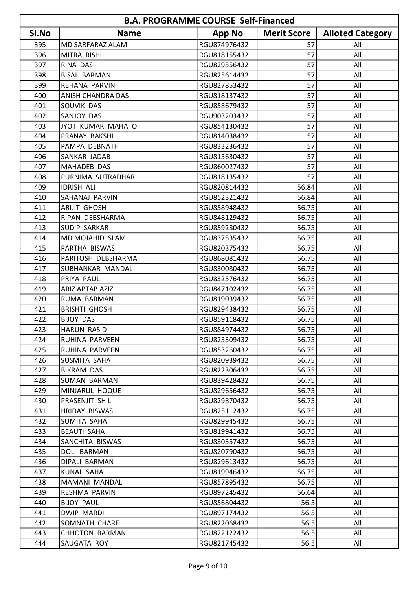|       | <b>B.A. PROGRAMME COURSE Self-Financed</b> |               |                    |                         |  |
|-------|--------------------------------------------|---------------|--------------------|-------------------------|--|
| SI.No | <b>Name</b>                                | <b>App No</b> | <b>Merit Score</b> | <b>Alloted Category</b> |  |
| 395   | <b>MD SARFARAZ ALAM</b>                    | RGU874976432  | 57                 | All                     |  |
| 396   | MITRA RISHI                                | RGU818155432  | 57                 | All                     |  |
| 397   | RINA DAS                                   | RGU829556432  | 57                 | All                     |  |
| 398   | <b>BISAL BARMAN</b>                        | RGU825614432  | 57                 | All                     |  |
| 399   | REHANA PARVIN                              | RGU827853432  | 57                 | All                     |  |
| 400   | <b>ANISH CHANDRA DAS</b>                   | RGU818137432  | 57                 | All                     |  |
| 401   | SOUVIK DAS                                 | RGU858679432  | 57                 | All                     |  |
| 402   | SANJOY DAS                                 | RGU903203432  | 57                 | All                     |  |
| 403   | JYOTI KUMARI MAHATO                        | RGU854130432  | 57                 | All                     |  |
| 404   | PRANAY BAKSHI                              | RGU814038432  | 57                 | All                     |  |
| 405   | PAMPA DEBNATH                              | RGU833236432  | 57                 | All                     |  |
| 406   | SANKAR JADAB                               | RGU815630432  | 57                 | All                     |  |
| 407   | MAHADEB DAS                                | RGU860027432  | 57                 | All                     |  |
| 408   | PURNIMA SUTRADHAR                          | RGU818135432  | 57                 | All                     |  |
| 409   | <b>IDRISH ALI</b>                          | RGU820814432  | 56.84              | All                     |  |
| 410   | SAHANAJ PARVIN                             | RGU852321432  | 56.84              | All                     |  |
| 411   | <b>ARIJIT GHOSH</b>                        | RGU858948432  | 56.75              | All                     |  |
| 412   | RIPAN DEBSHARMA                            | RGU848129432  | 56.75              | All                     |  |
| 413   | <b>SUDIP SARKAR</b>                        | RGU859280432  | 56.75              | All                     |  |
| 414   | <b>MD MOJAHID ISLAM</b>                    | RGU837535432  | 56.75              | All                     |  |
| 415   | PARTHA BISWAS                              | RGU820375432  | 56.75              | All                     |  |
| 416   | PARITOSH DEBSHARMA                         | RGU868081432  | 56.75              | All                     |  |
| 417   | <b>SUBHANKAR MANDAL</b>                    | RGU830080432  | 56.75              | All                     |  |
| 418   | PRIYA PAUL                                 | RGU832576432  | 56.75              | All                     |  |
| 419   | <b>ARIZ APTAB AZIZ</b>                     | RGU847102432  | 56.75              | All                     |  |
| 420   | RUMA BARMAN                                | RGU819039432  | 56.75              | All                     |  |
| 421   | <b>BRISHTI GHOSH</b>                       | RGU829438432  | 56.75              | All                     |  |
| 422   | <b>BIJOY DAS</b>                           | RGU859118432  | 56.75              | All                     |  |
| 423   | HARUN RASID                                | RGU884974432  | 56.75              | All                     |  |
| 424   | RUHINA PARVEEN                             | RGU823309432  | 56.75              | All                     |  |
| 425   | RUHINA PARVEEN                             | RGU853260432  | 56.75              | All                     |  |
| 426   | SUSMITA SAHA                               | RGU820939432  | 56.75              | All                     |  |
| 427   | BIKRAM DAS                                 | RGU822306432  | 56.75              | All                     |  |
| 428   | <b>SUMAN BARMAN</b>                        | RGU839428432  | 56.75              | All                     |  |
| 429   | MINJARUL HOQUE                             | RGU829656432  | 56.75              | All                     |  |
| 430   | PRASENJIT SHIL                             | RGU829870432  | 56.75              | All                     |  |
| 431   | HRIDAY BISWAS                              | RGU825112432  | 56.75              | All                     |  |
| 432   | <b>SUMITA SAHA</b>                         | RGU829945432  | 56.75              | All                     |  |
| 433   | <b>BEAUTI SAHA</b>                         | RGU819941432  | 56.75              | All                     |  |
| 434   | SANCHITA BISWAS                            | RGU830357432  | 56.75              | All                     |  |
| 435   | DOLI BARMAN                                | RGU820790432  | 56.75              | All                     |  |
| 436   | DIPALI BARMAN                              | RGU829613432  | 56.75              | All                     |  |
| 437   | KUNAL SAHA                                 | RGU819946432  | 56.75              | All                     |  |
| 438   | MAMANI MANDAL                              | RGU857895432  | 56.75              | All                     |  |
| 439   | RESHMA PARVIN                              | RGU897245432  | 56.64              | All                     |  |
| 440   | <b>BIJOY PAUL</b>                          | RGU856804432  | 56.5               | All                     |  |
| 441   | DWIP MARDI                                 | RGU897174432  | 56.5               | All                     |  |
| 442   | SOMNATH CHARE                              | RGU822068432  | 56.5               | All                     |  |
| 443   | <b>CHHOTON BARMAN</b>                      | RGU822122432  | 56.5               | All                     |  |
| 444   | SAUGATA ROY                                | RGU821745432  | 56.5               | All                     |  |